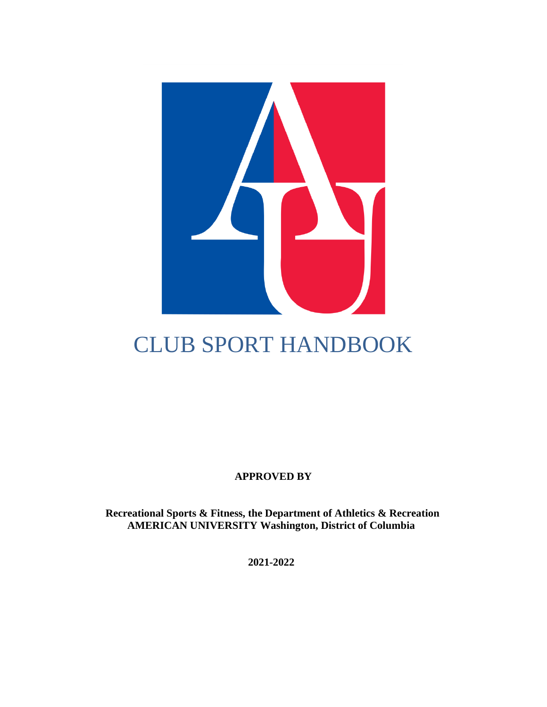

# CLUB SPORT HANDBOOK

**APPROVED BY**

**Recreational Sports & Fitness, the Department of Athletics & Recreation AMERICAN UNIVERSITY Washington, District of Columbia**

**2021-2022**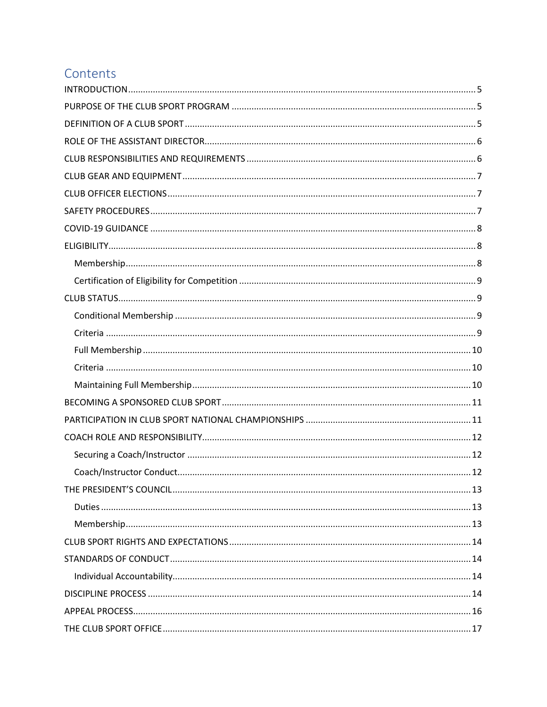# Contents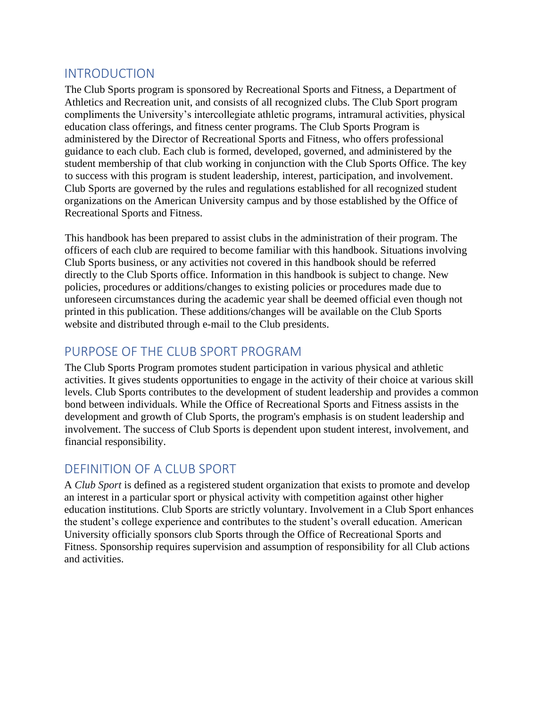### <span id="page-4-0"></span>INTRODUCTION

The Club Sports program is sponsored by Recreational Sports and Fitness, a Department of Athletics and Recreation unit, and consists of all recognized clubs. The Club Sport program compliments the University's intercollegiate athletic programs, intramural activities, physical education class offerings, and fitness center programs. The Club Sports Program is administered by the Director of Recreational Sports and Fitness, who offers professional guidance to each club. Each club is formed, developed, governed, and administered by the student membership of that club working in conjunction with the Club Sports Office. The key to success with this program is student leadership, interest, participation, and involvement. Club Sports are governed by the rules and regulations established for all recognized student organizations on the American University campus and by those established by the Office of Recreational Sports and Fitness.

This handbook has been prepared to assist clubs in the administration of their program. The officers of each club are required to become familiar with this handbook. Situations involving Club Sports business, or any activities not covered in this handbook should be referred directly to the Club Sports office. Information in this handbook is subject to change. New policies, procedures or additions/changes to existing policies or procedures made due to unforeseen circumstances during the academic year shall be deemed official even though not printed in this publication. These additions/changes will be available on the Club Sports website and distributed through e-mail to the Club presidents.

### <span id="page-4-1"></span>PURPOSE OF THE CLUB SPORT PROGRAM

The Club Sports Program promotes student participation in various physical and athletic activities. It gives students opportunities to engage in the activity of their choice at various skill levels. Club Sports contributes to the development of student leadership and provides a common bond between individuals. While the Office of Recreational Sports and Fitness assists in the development and growth of Club Sports, the program's emphasis is on student leadership and involvement. The success of Club Sports is dependent upon student interest, involvement, and financial responsibility.

### <span id="page-4-2"></span>DEFINITION OF A CLUB SPORT

A *Club Sport* is defined as a registered student organization that exists to promote and develop an interest in a particular sport or physical activity with competition against other higher education institutions. Club Sports are strictly voluntary. Involvement in a Club Sport enhances the student's college experience and contributes to the student's overall education. American University officially sponsors club Sports through the Office of Recreational Sports and Fitness. Sponsorship requires supervision and assumption of responsibility for all Club actions and activities.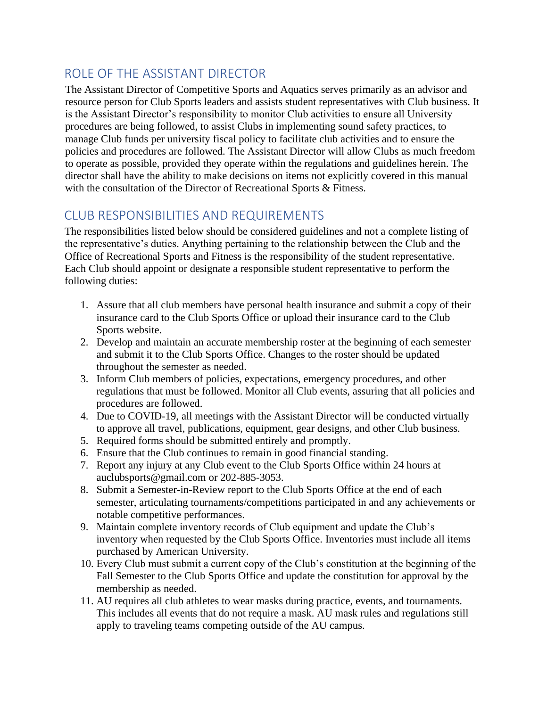### <span id="page-5-0"></span>ROLE OF THE ASSISTANT DIRECTOR

The Assistant Director of Competitive Sports and Aquatics serves primarily as an advisor and resource person for Club Sports leaders and assists student representatives with Club business. It is the Assistant Director's responsibility to monitor Club activities to ensure all University procedures are being followed, to assist Clubs in implementing sound safety practices, to manage Club funds per university fiscal policy to facilitate club activities and to ensure the policies and procedures are followed. The Assistant Director will allow Clubs as much freedom to operate as possible, provided they operate within the regulations and guidelines herein. The director shall have the ability to make decisions on items not explicitly covered in this manual with the consultation of the Director of Recreational Sports & Fitness.

# <span id="page-5-1"></span>CLUB RESPONSIBILITIES AND REQUIREMENTS

The responsibilities listed below should be considered guidelines and not a complete listing of the representative's duties. Anything pertaining to the relationship between the Club and the Office of Recreational Sports and Fitness is the responsibility of the student representative. Each Club should appoint or designate a responsible student representative to perform the following duties:

- 1. Assure that all club members have personal health insurance and submit a copy of their insurance card to the Club Sports Office or upload their insurance card to the Club Sports website.
- 2. Develop and maintain an accurate membership roster at the beginning of each semester and submit it to the Club Sports Office. Changes to the roster should be updated throughout the semester as needed.
- 3. Inform Club members of policies, expectations, emergency procedures, and other regulations that must be followed. Monitor all Club events, assuring that all policies and procedures are followed.
- 4. Due to COVID-19, all meetings with the Assistant Director will be conducted virtually to approve all travel, publications, equipment, gear designs, and other Club business.
- 5. Required forms should be submitted entirely and promptly.
- 6. Ensure that the Club continues to remain in good financial standing.
- 7. Report any injury at any Club event to the Club Sports Office within 24 hours at auclubsports@gmail.com or 202-885-3053.
- 8. Submit a Semester-in-Review report to the Club Sports Office at the end of each semester, articulating tournaments/competitions participated in and any achievements or notable competitive performances.
- 9. Maintain complete inventory records of Club equipment and update the Club's inventory when requested by the Club Sports Office. Inventories must include all items purchased by American University.
- 10. Every Club must submit a current copy of the Club's constitution at the beginning of the Fall Semester to the Club Sports Office and update the constitution for approval by the membership as needed.
- 11. AU requires all club athletes to wear masks during practice, events, and tournaments. This includes all events that do not require a mask. AU mask rules and regulations still apply to traveling teams competing outside of the AU campus.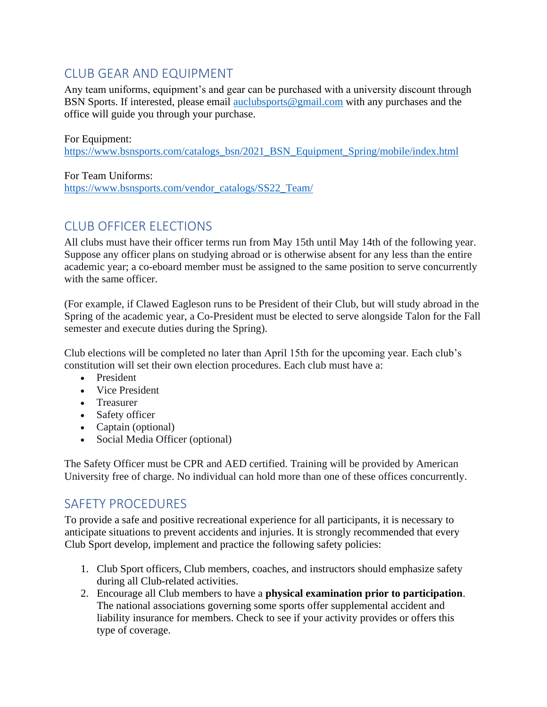# <span id="page-6-0"></span>CLUB GEAR AND EQUIPMENT

Any team uniforms, equipment's and gear can be purchased with a university discount through BSN Sports. If interested, please email [auclubsports@gmail.com](mailto:auclubsports@gmail.com) with any purchases and the office will guide you through your purchase.

For Equipment: [https://www.bsnsports.com/catalogs\\_bsn/2021\\_BSN\\_Equipment\\_Spring/mobile/index.html](https://www.bsnsports.com/catalogs_bsn/2021_BSN_Equipment_Spring/mobile/index.html)

For Team Uniforms: [https://www.bsnsports.com/vendor\\_catalogs/SS22\\_Team/](https://www.bsnsports.com/vendor_catalogs/SS22_Team/)

# <span id="page-6-1"></span>CLUB OFFICER ELECTIONS

All clubs must have their officer terms run from May 15th until May 14th of the following year. Suppose any officer plans on studying abroad or is otherwise absent for any less than the entire academic year; a co-eboard member must be assigned to the same position to serve concurrently with the same officer.

(For example, if Clawed Eagleson runs to be President of their Club, but will study abroad in the Spring of the academic year, a Co-President must be elected to serve alongside Talon for the Fall semester and execute duties during the Spring).

Club elections will be completed no later than April 15th for the upcoming year. Each club's constitution will set their own election procedures. Each club must have a:

- President
- Vice President
- Treasurer
- Safety officer
- Captain (optional)
- Social Media Officer (optional)

The Safety Officer must be CPR and AED certified. Training will be provided by American University free of charge. No individual can hold more than one of these offices concurrently.

# <span id="page-6-2"></span>SAFETY PROCEDURES

To provide a safe and positive recreational experience for all participants, it is necessary to anticipate situations to prevent accidents and injuries. It is strongly recommended that every Club Sport develop, implement and practice the following safety policies:

- 1. Club Sport officers, Club members, coaches, and instructors should emphasize safety during all Club-related activities.
- 2. Encourage all Club members to have a **physical examination prior to participation**. The national associations governing some sports offer supplemental accident and liability insurance for members. Check to see if your activity provides or offers this type of coverage.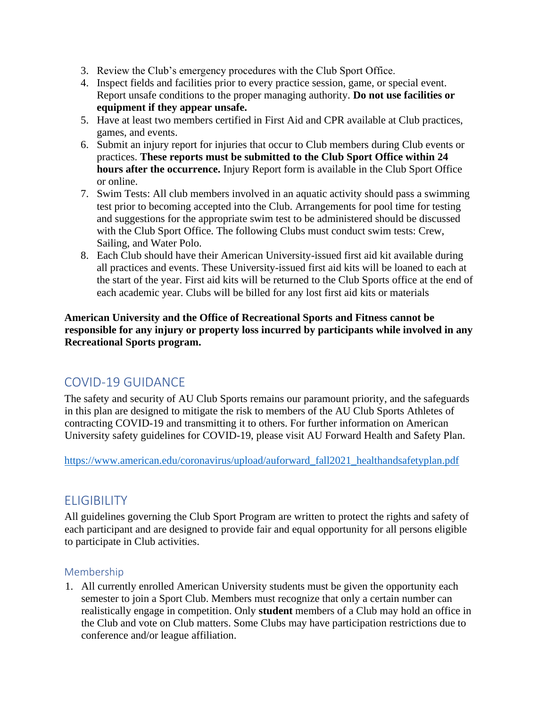- 3. Review the Club's emergency procedures with the Club Sport Office.
- 4. Inspect fields and facilities prior to every practice session, game, or special event. Report unsafe conditions to the proper managing authority. **Do not use facilities or equipment if they appear unsafe.**
- 5. Have at least two members certified in First Aid and CPR available at Club practices, games, and events.
- 6. Submit an injury report for injuries that occur to Club members during Club events or practices. **These reports must be submitted to the Club Sport Office within 24 hours after the occurrence.** Injury Report form is available in the Club Sport Office or online.
- 7. Swim Tests: All club members involved in an aquatic activity should pass a swimming test prior to becoming accepted into the Club. Arrangements for pool time for testing and suggestions for the appropriate swim test to be administered should be discussed with the Club Sport Office. The following Clubs must conduct swim tests: Crew, Sailing, and Water Polo.
- 8. Each Club should have their American University-issued first aid kit available during all practices and events. These University-issued first aid kits will be loaned to each at the start of the year. First aid kits will be returned to the Club Sports office at the end of each academic year. Clubs will be billed for any lost first aid kits or materials

**American University and the Office of Recreational Sports and Fitness cannot be responsible for any injury or property loss incurred by participants while involved in any Recreational Sports program.**

# <span id="page-7-0"></span>COVID-19 GUIDANCE

The safety and security of AU Club Sports remains our paramount priority, and the safeguards in this plan are designed to mitigate the risk to members of the AU Club Sports Athletes of contracting COVID-19 and transmitting it to others. For further information on American University safety guidelines for COVID-19, please visit AU Forward Health and Safety Plan.

[https://www.american.edu/coronavirus/upload/auforward\\_fall2021\\_healthandsafetyplan.pdf](https://www.american.edu/coronavirus/upload/auforward_fall2021_healthandsafetyplan.pdf)

# <span id="page-7-1"></span>**ELIGIBILITY**

All guidelines governing the Club Sport Program are written to protect the rights and safety of each participant and are designed to provide fair and equal opportunity for all persons eligible to participate in Club activities.

#### <span id="page-7-2"></span>Membership

1. All currently enrolled American University students must be given the opportunity each semester to join a Sport Club. Members must recognize that only a certain number can realistically engage in competition. Only **student** members of a Club may hold an office in the Club and vote on Club matters. Some Clubs may have participation restrictions due to conference and/or league affiliation.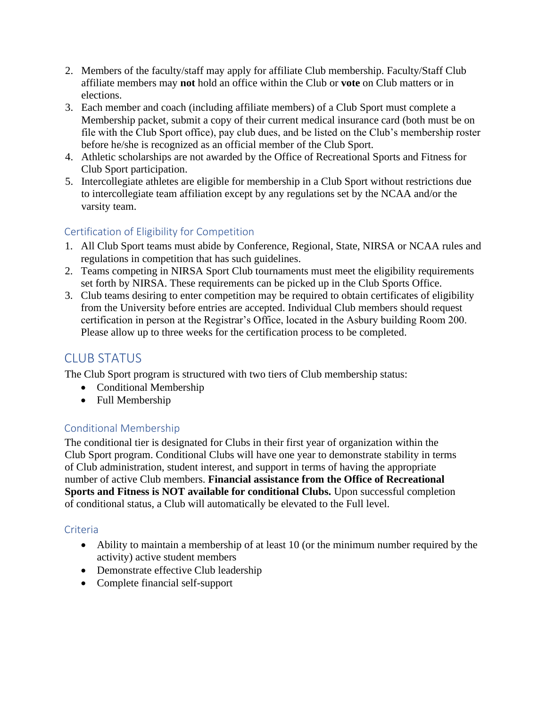- 2. Members of the faculty/staff may apply for affiliate Club membership. Faculty/Staff Club affiliate members may **not** hold an office within the Club or **vote** on Club matters or in elections.
- 3. Each member and coach (including affiliate members) of a Club Sport must complete a Membership packet, submit a copy of their current medical insurance card (both must be on file with the Club Sport office), pay club dues, and be listed on the Club's membership roster before he/she is recognized as an official member of the Club Sport.
- 4. Athletic scholarships are not awarded by the Office of Recreational Sports and Fitness for Club Sport participation.
- 5. Intercollegiate athletes are eligible for membership in a Club Sport without restrictions due to intercollegiate team affiliation except by any regulations set by the NCAA and/or the varsity team.

### <span id="page-8-0"></span>Certification of Eligibility for Competition

- 1. All Club Sport teams must abide by Conference, Regional, State, NIRSA or NCAA rules and regulations in competition that has such guidelines.
- 2. Teams competing in NIRSA Sport Club tournaments must meet the eligibility requirements set forth by NIRSA. These requirements can be picked up in the Club Sports Office.
- 3. Club teams desiring to enter competition may be required to obtain certificates of eligibility from the University before entries are accepted. Individual Club members should request certification in person at the Registrar's Office, located in the Asbury building Room 200. Please allow up to three weeks for the certification process to be completed.

# <span id="page-8-1"></span>CLUB STATUS

The Club Sport program is structured with two tiers of Club membership status:

- Conditional Membership
- Full Membership

#### <span id="page-8-2"></span>Conditional Membership

The conditional tier is designated for Clubs in their first year of organization within the Club Sport program. Conditional Clubs will have one year to demonstrate stability in terms of Club administration, student interest, and support in terms of having the appropriate number of active Club members. **Financial assistance from the Office of Recreational Sports and Fitness is NOT available for conditional Clubs.** Upon successful completion of conditional status, a Club will automatically be elevated to the Full level.

#### <span id="page-8-3"></span>Criteria

- Ability to maintain a membership of at least 10 (or the minimum number required by the activity) active student members
- Demonstrate effective Club leadership
- Complete financial self-support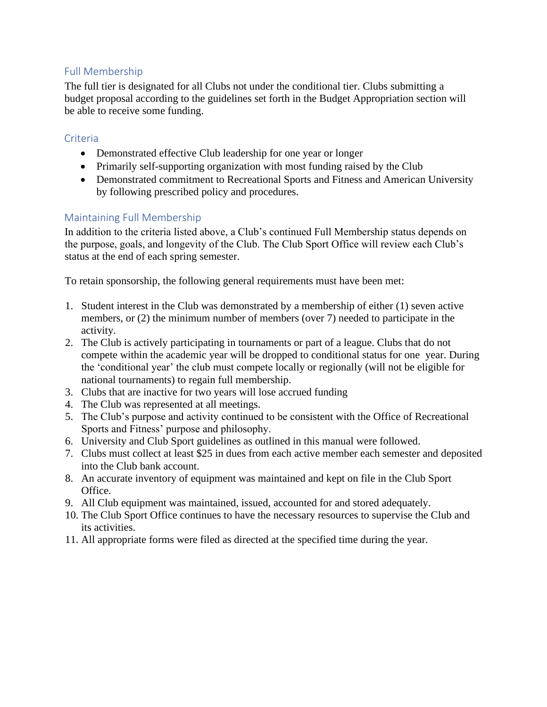#### <span id="page-9-0"></span>Full Membership

The full tier is designated for all Clubs not under the conditional tier. Clubs submitting a budget proposal according to the guidelines set forth in the Budget Appropriation section will be able to receive some funding.

#### <span id="page-9-1"></span>Criteria

- Demonstrated effective Club leadership for one year or longer
- Primarily self-supporting organization with most funding raised by the Club
- Demonstrated commitment to Recreational Sports and Fitness and American University by following prescribed policy and procedures.

#### <span id="page-9-2"></span>Maintaining Full Membership

In addition to the criteria listed above, a Club's continued Full Membership status depends on the purpose, goals, and longevity of the Club. The Club Sport Office will review each Club's status at the end of each spring semester.

To retain sponsorship, the following general requirements must have been met:

- 1. Student interest in the Club was demonstrated by a membership of either (1) seven active members, or (2) the minimum number of members (over 7) needed to participate in the activity.
- 2. The Club is actively participating in tournaments or part of a league. Clubs that do not compete within the academic year will be dropped to conditional status for one year. During the 'conditional year' the club must compete locally or regionally (will not be eligible for national tournaments) to regain full membership.
- 3. Clubs that are inactive for two years will lose accrued funding
- 4. The Club was represented at all meetings.
- 5. The Club's purpose and activity continued to be consistent with the Office of Recreational Sports and Fitness' purpose and philosophy.
- 6. University and Club Sport guidelines as outlined in this manual were followed.
- 7. Clubs must collect at least \$25 in dues from each active member each semester and deposited into the Club bank account.
- 8. An accurate inventory of equipment was maintained and kept on file in the Club Sport Office.
- 9. All Club equipment was maintained, issued, accounted for and stored adequately.
- 10. The Club Sport Office continues to have the necessary resources to supervise the Club and its activities.
- 11. All appropriate forms were filed as directed at the specified time during the year.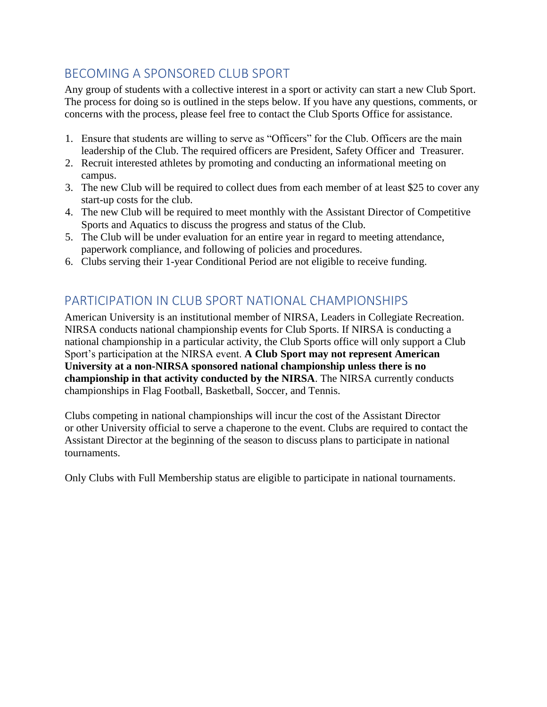# <span id="page-10-0"></span>BECOMING A SPONSORED CLUB SPORT

Any group of students with a collective interest in a sport or activity can start a new Club Sport. The process for doing so is outlined in the steps below. If you have any questions, comments, or concerns with the process, please feel free to contact the Club Sports Office for assistance.

- 1. Ensure that students are willing to serve as "Officers" for the Club. Officers are the main leadership of the Club. The required officers are President, Safety Officer and Treasurer.
- 2. Recruit interested athletes by promoting and conducting an informational meeting on campus.
- 3. The new Club will be required to collect dues from each member of at least \$25 to cover any start-up costs for the club.
- 4. The new Club will be required to meet monthly with the Assistant Director of Competitive Sports and Aquatics to discuss the progress and status of the Club.
- 5. The Club will be under evaluation for an entire year in regard to meeting attendance, paperwork compliance, and following of policies and procedures.
- 6. Clubs serving their 1-year Conditional Period are not eligible to receive funding.

# <span id="page-10-1"></span>PARTICIPATION IN CLUB SPORT NATIONAL CHAMPIONSHIPS

American University is an institutional member of NIRSA, Leaders in Collegiate Recreation. NIRSA conducts national championship events for Club Sports. If NIRSA is conducting a national championship in a particular activity, the Club Sports office will only support a Club Sport's participation at the NIRSA event. **A Club Sport may not represent American University at a non-NIRSA sponsored national championship unless there is no championship in that activity conducted by the NIRSA**. The NIRSA currently conducts championships in Flag Football, Basketball, Soccer, and Tennis.

Clubs competing in national championships will incur the cost of the Assistant Director or other University official to serve a chaperone to the event. Clubs are required to contact the Assistant Director at the beginning of the season to discuss plans to participate in national tournaments.

Only Clubs with Full Membership status are eligible to participate in national tournaments.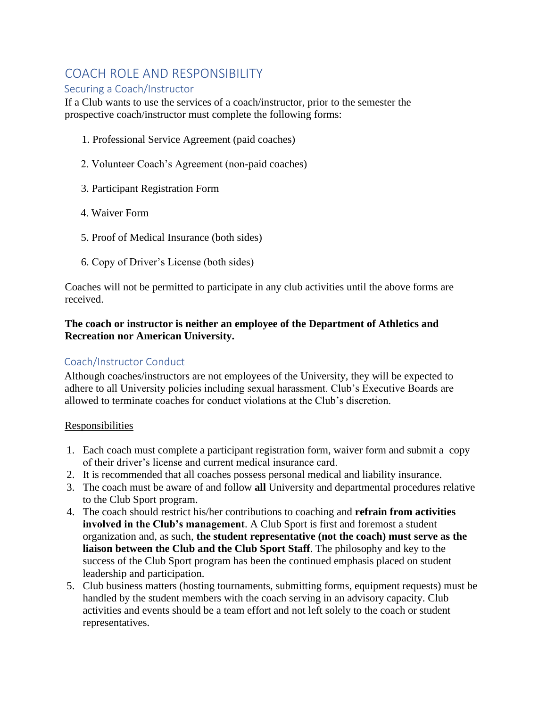### <span id="page-11-0"></span>COACH ROLE AND RESPONSIBILITY

#### <span id="page-11-1"></span>Securing a Coach/Instructor

If a Club wants to use the services of a coach/instructor, prior to the semester the prospective coach/instructor must complete the following forms:

- 1. Professional Service Agreement (paid coaches)
- 2. Volunteer Coach's Agreement (non-paid coaches)
- 3. Participant Registration Form
- 4. Waiver Form
- 5. Proof of Medical Insurance (both sides)
- 6. Copy of Driver's License (both sides)

Coaches will not be permitted to participate in any club activities until the above forms are received.

#### **The coach or instructor is neither an employee of the Department of Athletics and Recreation nor American University.**

#### <span id="page-11-2"></span>Coach/Instructor Conduct

Although coaches/instructors are not employees of the University, they will be expected to adhere to all University policies including sexual harassment. Club's Executive Boards are allowed to terminate coaches for conduct violations at the Club's discretion.

#### **Responsibilities**

- 1. Each coach must complete a participant registration form, waiver form and submit a copy of their driver's license and current medical insurance card.
- 2. It is recommended that all coaches possess personal medical and liability insurance.
- 3. The coach must be aware of and follow **all** University and departmental procedures relative to the Club Sport program.
- 4. The coach should restrict his/her contributions to coaching and **refrain from activities involved in the Club's management**. A Club Sport is first and foremost a student organization and, as such, **the student representative (not the coach) must serve as the liaison between the Club and the Club Sport Staff**. The philosophy and key to the success of the Club Sport program has been the continued emphasis placed on student leadership and participation.
- 5. Club business matters (hosting tournaments, submitting forms, equipment requests) must be handled by the student members with the coach serving in an advisory capacity. Club activities and events should be a team effort and not left solely to the coach or student representatives.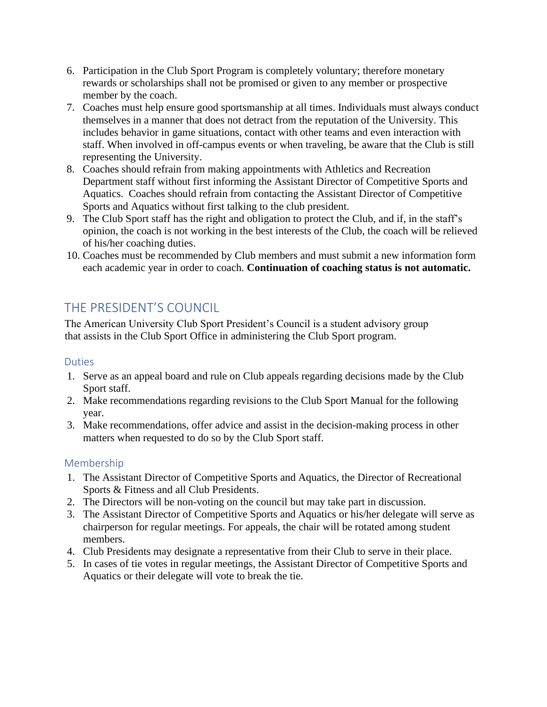- 6. Participation in the Club Sport Program is completely voluntary; therefore monetary rewards or scholarships shall not be promised or given to any member or prospective member by the coach.
- 7. Coaches must help ensure good sportsmanship at all times. Individuals must always conduct themselves in a manner that does not detract from the reputation of the University. This includes behavior in game situations, contact with other teams and even interaction with staff. When involved in off-campus events or when traveling, be aware that the Club is still representing the University.
- 8. Coaches should refrain from making appointments with Athletics and Recreation Department staff without first informing the Assistant Director of Competitive Sports and Aquatics. Coaches should refrain from contacting the Assistant Director of Competitive Sports and Aquatics without first talking to the club president.
- 9. The Club Sport staff has the right and obligation to protect the Club, and if, in the staff's opinion, the coach is not working in the best interests of the Club, the coach will be relieved of his/her coaching duties.
- 10. Coaches must be recommended by Club members and must submit a new information form each academic year in order to coach. **Continuation of coaching status is not automatic.**

# <span id="page-12-0"></span>THE PRESIDENT'S COUNCIL

The American University Club Sport President's Council is a student advisory group that assists in the Club Sport Office in administering the Club Sport program.

#### <span id="page-12-1"></span>Duties

- 1. Serve as an appeal board and rule on Club appeals regarding decisions made by the Club Sport staff.
- 2. Make recommendations regarding revisions to the Club Sport Manual for the following year.
- 3. Make recommendations, offer advice and assist in the decision-making process in other matters when requested to do so by the Club Sport staff.

#### <span id="page-12-2"></span>Membership

- 1. The Assistant Director of Competitive Sports and Aquatics, the Director of Recreational Sports & Fitness and all Club Presidents.
- 2. The Directors will be non-voting on the council but may take part in discussion.
- 3. The Assistant Director of Competitive Sports and Aquatics or his/her delegate will serve as chairperson for regular meetings. For appeals, the chair will be rotated among student members.
- 4. Club Presidents may designate a representative from their Club to serve in their place.
- 5. In cases of tie votes in regular meetings, the Assistant Director of Competitive Sports and Aquatics or their delegate will vote to break the tie.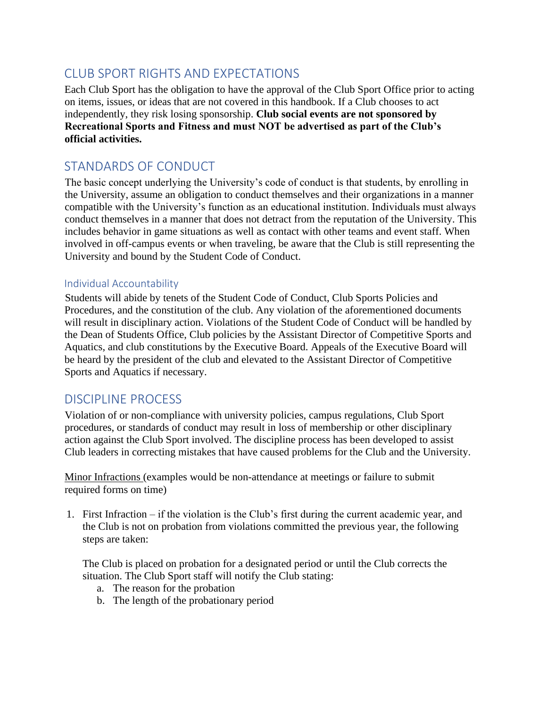# <span id="page-13-0"></span>CLUB SPORT RIGHTS AND EXPECTATIONS

Each Club Sport has the obligation to have the approval of the Club Sport Office prior to acting on items, issues, or ideas that are not covered in this handbook. If a Club chooses to act independently, they risk losing sponsorship. **Club social events are not sponsored by Recreational Sports and Fitness and must NOT be advertised as part of the Club's official activities.**

# <span id="page-13-1"></span>STANDARDS OF CONDUCT

The basic concept underlying the University's code of conduct is that students, by enrolling in the University, assume an obligation to conduct themselves and their organizations in a manner compatible with the University's function as an educational institution. Individuals must always conduct themselves in a manner that does not detract from the reputation of the University. This includes behavior in game situations as well as contact with other teams and event staff. When involved in off-campus events or when traveling, be aware that the Club is still representing the University and bound by the Student Code of Conduct.

#### <span id="page-13-2"></span>Individual Accountability

Students will abide by tenets of the Student Code of Conduct, Club Sports Policies and Procedures, and the constitution of the club. Any violation of the aforementioned documents will result in disciplinary action. Violations of the Student Code of Conduct will be handled by the Dean of Students Office, Club policies by the Assistant Director of Competitive Sports and Aquatics, and club constitutions by the Executive Board. Appeals of the Executive Board will be heard by the president of the club and elevated to the Assistant Director of Competitive Sports and Aquatics if necessary.

### <span id="page-13-3"></span>DISCIPLINE PROCESS

Violation of or non-compliance with university policies, campus regulations, Club Sport procedures, or standards of conduct may result in loss of membership or other disciplinary action against the Club Sport involved. The discipline process has been developed to assist Club leaders in correcting mistakes that have caused problems for the Club and the University.

Minor Infractions (examples would be non-attendance at meetings or failure to submit required forms on time)

1. First Infraction – if the violation is the Club's first during the current academic year, and the Club is not on probation from violations committed the previous year, the following steps are taken:

The Club is placed on probation for a designated period or until the Club corrects the situation. The Club Sport staff will notify the Club stating:

- a. The reason for the probation
- b. The length of the probationary period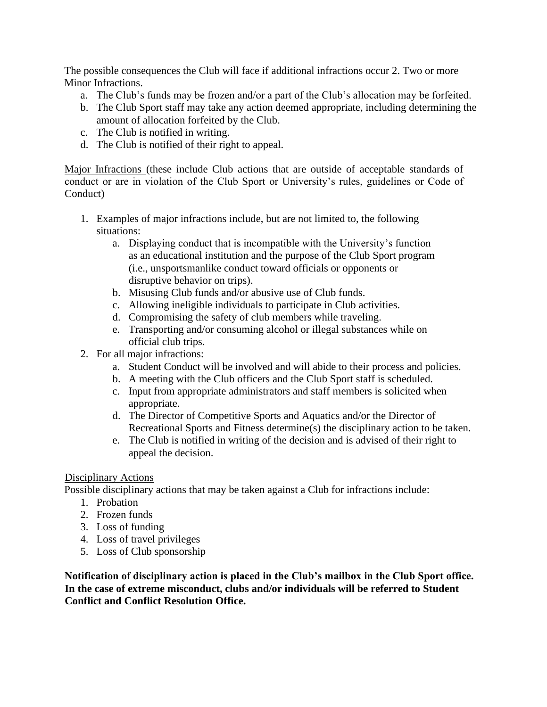The possible consequences the Club will face if additional infractions occur 2. Two or more Minor Infractions.

- a. The Club's funds may be frozen and/or a part of the Club's allocation may be forfeited.
- b. The Club Sport staff may take any action deemed appropriate, including determining the amount of allocation forfeited by the Club.
- c. The Club is notified in writing.
- d. The Club is notified of their right to appeal.

Major Infractions (these include Club actions that are outside of acceptable standards of conduct or are in violation of the Club Sport or University's rules, guidelines or Code of Conduct)

- 1. Examples of major infractions include, but are not limited to, the following situations:
	- a. Displaying conduct that is incompatible with the University's function as an educational institution and the purpose of the Club Sport program (i.e., unsportsmanlike conduct toward officials or opponents or disruptive behavior on trips).
	- b. Misusing Club funds and/or abusive use of Club funds.
	- c. Allowing ineligible individuals to participate in Club activities.
	- d. Compromising the safety of club members while traveling.
	- e. Transporting and/or consuming alcohol or illegal substances while on official club trips.
- 2. For all major infractions:
	- a. Student Conduct will be involved and will abide to their process and policies.
	- b. A meeting with the Club officers and the Club Sport staff is scheduled.
	- c. Input from appropriate administrators and staff members is solicited when appropriate.
	- d. The Director of Competitive Sports and Aquatics and/or the Director of Recreational Sports and Fitness determine(s) the disciplinary action to be taken.
	- e. The Club is notified in writing of the decision and is advised of their right to appeal the decision.

#### Disciplinary Actions

Possible disciplinary actions that may be taken against a Club for infractions include:

- 1. Probation
- 2. Frozen funds
- 3. Loss of funding
- 4. Loss of travel privileges
- 5. Loss of Club sponsorship

**Notification of disciplinary action is placed in the Club's mailbox in the Club Sport office. In the case of extreme misconduct, clubs and/or individuals will be referred to Student Conflict and Conflict Resolution Office.**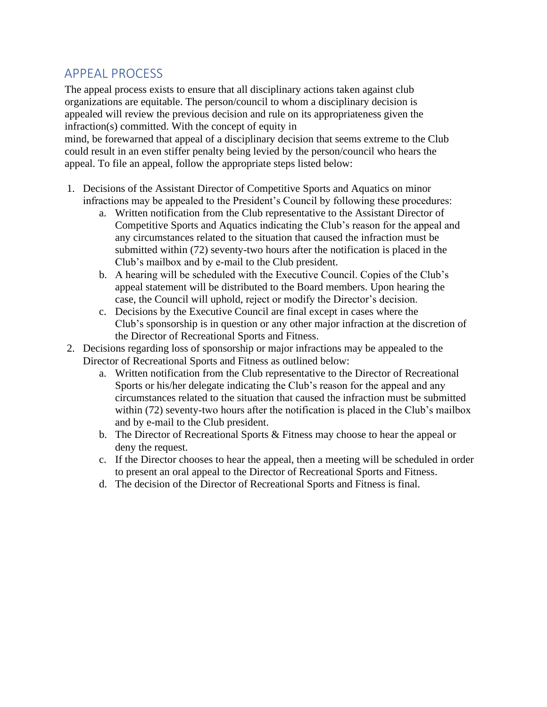### <span id="page-15-0"></span>APPEAL PROCESS

The appeal process exists to ensure that all disciplinary actions taken against club organizations are equitable. The person/council to whom a disciplinary decision is appealed will review the previous decision and rule on its appropriateness given the infraction(s) committed. With the concept of equity in

mind, be forewarned that appeal of a disciplinary decision that seems extreme to the Club could result in an even stiffer penalty being levied by the person/council who hears the appeal. To file an appeal, follow the appropriate steps listed below:

- 1. Decisions of the Assistant Director of Competitive Sports and Aquatics on minor infractions may be appealed to the President's Council by following these procedures:
	- a. Written notification from the Club representative to the Assistant Director of Competitive Sports and Aquatics indicating the Club's reason for the appeal and any circumstances related to the situation that caused the infraction must be submitted within (72) seventy-two hours after the notification is placed in the Club's mailbox and by e-mail to the Club president.
	- b. A hearing will be scheduled with the Executive Council. Copies of the Club's appeal statement will be distributed to the Board members. Upon hearing the case, the Council will uphold, reject or modify the Director's decision.
	- c. Decisions by the Executive Council are final except in cases where the Club's sponsorship is in question or any other major infraction at the discretion of the Director of Recreational Sports and Fitness.
- 2. Decisions regarding loss of sponsorship or major infractions may be appealed to the Director of Recreational Sports and Fitness as outlined below:
	- a. Written notification from the Club representative to the Director of Recreational Sports or his/her delegate indicating the Club's reason for the appeal and any circumstances related to the situation that caused the infraction must be submitted within (72) seventy-two hours after the notification is placed in the Club's mailbox and by e-mail to the Club president.
	- b. The Director of Recreational Sports & Fitness may choose to hear the appeal or deny the request.
	- c. If the Director chooses to hear the appeal, then a meeting will be scheduled in order to present an oral appeal to the Director of Recreational Sports and Fitness.
	- d. The decision of the Director of Recreational Sports and Fitness is final.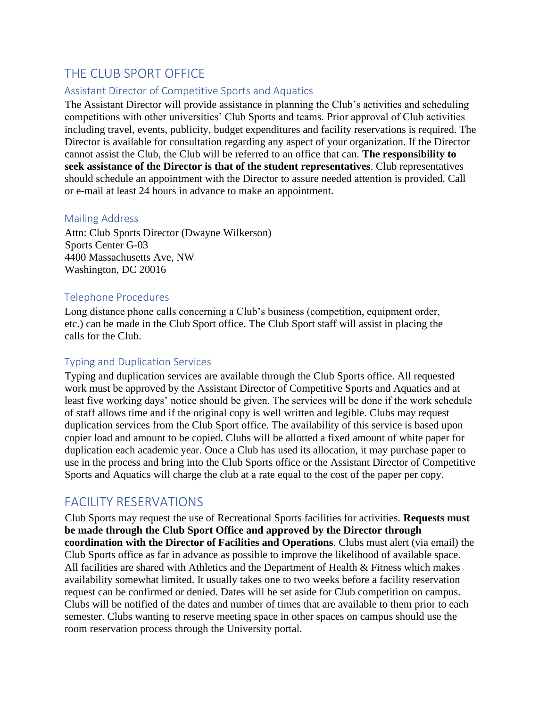### <span id="page-16-0"></span>THE CLUB SPORT OFFICE

#### <span id="page-16-1"></span>Assistant Director of Competitive Sports and Aquatics

The Assistant Director will provide assistance in planning the Club's activities and scheduling competitions with other universities' Club Sports and teams. Prior approval of Club activities including travel, events, publicity, budget expenditures and facility reservations is required. The Director is available for consultation regarding any aspect of your organization. If the Director cannot assist the Club, the Club will be referred to an office that can. **The responsibility to seek assistance of the Director is that of the student representatives**. Club representatives should schedule an appointment with the Director to assure needed attention is provided. Call or e-mail at least 24 hours in advance to make an appointment.

#### <span id="page-16-2"></span>Mailing Address

Attn: Club Sports Director (Dwayne Wilkerson) Sports Center G-03 4400 Massachusetts Ave, NW Washington, DC 20016

#### <span id="page-16-3"></span>Telephone Procedures

Long distance phone calls concerning a Club's business (competition, equipment order, etc.) can be made in the Club Sport office. The Club Sport staff will assist in placing the calls for the Club.

#### <span id="page-16-4"></span>Typing and Duplication Services

Typing and duplication services are available through the Club Sports office. All requested work must be approved by the Assistant Director of Competitive Sports and Aquatics and at least five working days' notice should be given. The services will be done if the work schedule of staff allows time and if the original copy is well written and legible. Clubs may request duplication services from the Club Sport office. The availability of this service is based upon copier load and amount to be copied. Clubs will be allotted a fixed amount of white paper for duplication each academic year. Once a Club has used its allocation, it may purchase paper to use in the process and bring into the Club Sports office or the Assistant Director of Competitive Sports and Aquatics will charge the club at a rate equal to the cost of the paper per copy.

### <span id="page-16-5"></span>FACILITY RESERVATIONS

Club Sports may request the use of Recreational Sports facilities for activities. **Requests must be made through the Club Sport Office and approved by the Director through coordination with the Director of Facilities and Operations**. Clubs must alert (via email) the Club Sports office as far in advance as possible to improve the likelihood of available space. All facilities are shared with Athletics and the Department of Health & Fitness which makes availability somewhat limited. It usually takes one to two weeks before a facility reservation request can be confirmed or denied. Dates will be set aside for Club competition on campus. Clubs will be notified of the dates and number of times that are available to them prior to each semester. Clubs wanting to reserve meeting space in other spaces on campus should use the room reservation process through the University portal.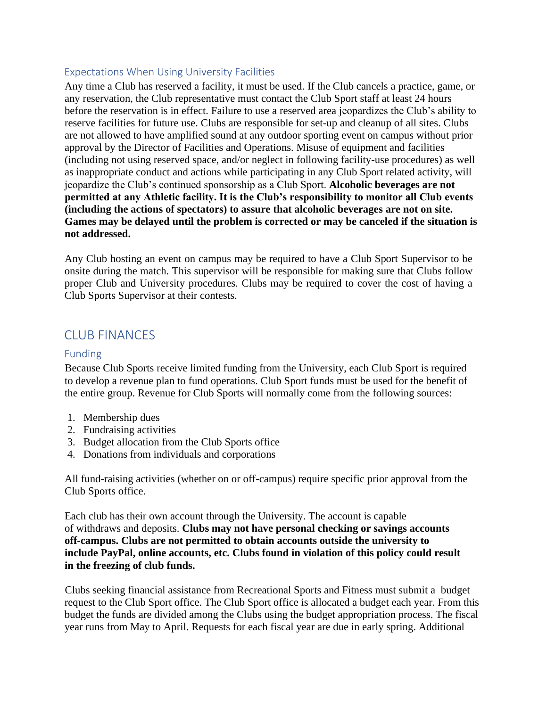#### <span id="page-17-0"></span>Expectations When Using University Facilities

Any time a Club has reserved a facility, it must be used. If the Club cancels a practice, game, or any reservation, the Club representative must contact the Club Sport staff at least 24 hours before the reservation is in effect. Failure to use a reserved area jeopardizes the Club's ability to reserve facilities for future use. Clubs are responsible for set-up and cleanup of all sites. Clubs are not allowed to have amplified sound at any outdoor sporting event on campus without prior approval by the Director of Facilities and Operations. Misuse of equipment and facilities (including not using reserved space, and/or neglect in following facility-use procedures) as well as inappropriate conduct and actions while participating in any Club Sport related activity, will jeopardize the Club's continued sponsorship as a Club Sport. **Alcoholic beverages are not permitted at any Athletic facility. It is the Club's responsibility to monitor all Club events (including the actions of spectators) to assure that alcoholic beverages are not on site. Games may be delayed until the problem is corrected or may be canceled if the situation is not addressed.**

Any Club hosting an event on campus may be required to have a Club Sport Supervisor to be onsite during the match. This supervisor will be responsible for making sure that Clubs follow proper Club and University procedures. Clubs may be required to cover the cost of having a Club Sports Supervisor at their contests.

# <span id="page-17-1"></span>CLUB FINANCES

#### <span id="page-17-2"></span>Funding

Because Club Sports receive limited funding from the University, each Club Sport is required to develop a revenue plan to fund operations. Club Sport funds must be used for the benefit of the entire group. Revenue for Club Sports will normally come from the following sources:

- 1. Membership dues
- 2. Fundraising activities
- 3. Budget allocation from the Club Sports office
- 4. Donations from individuals and corporations

All fund-raising activities (whether on or off-campus) require specific prior approval from the Club Sports office.

Each club has their own account through the University. The account is capable of withdraws and deposits. **Clubs may not have personal checking or savings accounts off-campus. Clubs are not permitted to obtain accounts outside the university to include PayPal, online accounts, etc. Clubs found in violation of this policy could result in the freezing of club funds.**

Clubs seeking financial assistance from Recreational Sports and Fitness must submit a budget request to the Club Sport office. The Club Sport office is allocated a budget each year. From this budget the funds are divided among the Clubs using the budget appropriation process. The fiscal year runs from May to April. Requests for each fiscal year are due in early spring. Additional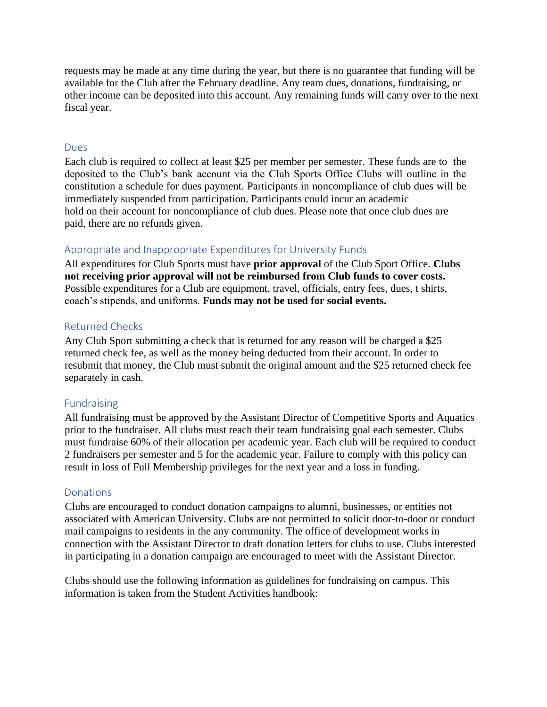requests may be made at any time during the year, but there is no guarantee that funding will be available for the Club after the February deadline. Any team dues, donations, fundraising, or other income can be deposited into this account. Any remaining funds will carry over to the next fiscal year.

#### <span id="page-18-0"></span>Dues

Each club is required to collect at least \$25 per member per semester. These funds are to the deposited to the Club's bank account via the Club Sports Office Clubs will outline in the constitution a schedule for dues payment. Participants in noncompliance of club dues will be immediately suspended from participation. Participants could incur an academic hold on their account for noncompliance of club dues. Please note that once club dues are paid, there are no refunds given.

#### <span id="page-18-1"></span>Appropriate and Inappropriate Expenditures for University Funds

All expenditures for Club Sports must have **prior approval** of the Club Sport Office. **Clubs not receiving prior approval will not be reimbursed from Club funds to cover costs.**  Possible expenditures for a Club are equipment, travel, officials, entry fees, dues, t shirts, coach's stipends, and uniforms. **Funds may not be used for social events.**

#### <span id="page-18-2"></span>Returned Checks

Any Club Sport submitting a check that is returned for any reason will be charged a \$25 returned check fee, as well as the money being deducted from their account. In order to resubmit that money, the Club must submit the original amount and the \$25 returned check fee separately in cash.

#### <span id="page-18-3"></span>Fundraising

All fundraising must be approved by the Assistant Director of Competitive Sports and Aquatics prior to the fundraiser. All clubs must reach their team fundraising goal each semester. Clubs must fundraise 60% of their allocation per academic year. Each club will be required to conduct 2 fundraisers per semester and 5 for the academic year. Failure to comply with this policy can result in loss of Full Membership privileges for the next year and a loss in funding.

#### <span id="page-18-4"></span>**Donations**

Clubs are encouraged to conduct donation campaigns to alumni, businesses, or entities not associated with American University. Clubs are not permitted to solicit door-to-door or conduct mail campaigns to residents in the any community. The office of development works in connection with the Assistant Director to draft donation letters for clubs to use. Clubs interested in participating in a donation campaign are encouraged to meet with the Assistant Director.

Clubs should use the following information as guidelines for fundraising on campus. This information is taken from the Student Activities handbook: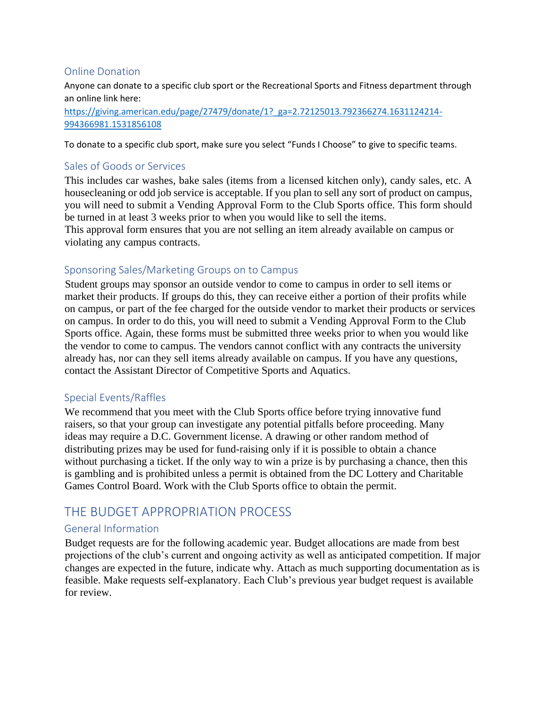#### <span id="page-19-0"></span>Online Donation

Anyone can donate to a specific club sport or the Recreational Sports and Fitness department through an online link here: [https://giving.american.edu/page/27479/donate/1?\\_ga=2.72125013.792366274.1631124214-](https://giving.american.edu/page/27479/donate/1?_ga=2.72125013.792366274.1631124214-994366981.1531856108) [994366981.1531856108](https://giving.american.edu/page/27479/donate/1?_ga=2.72125013.792366274.1631124214-994366981.1531856108)

To donate to a specific club sport, make sure you select "Funds I Choose" to give to specific teams.

#### Sales of Goods or Services

This includes car washes, bake sales (items from a licensed kitchen only), candy sales, etc. A housecleaning or odd job service is acceptable. If you plan to sell any sort of product on campus, you will need to submit a Vending Approval Form to the Club Sports office. This form should be turned in at least 3 weeks prior to when you would like to sell the items.

This approval form ensures that you are not selling an item already available on campus or violating any campus contracts.

#### <span id="page-19-1"></span>Sponsoring Sales/Marketing Groups on to Campus

Student groups may sponsor an outside vendor to come to campus in order to sell items or market their products. If groups do this, they can receive either a portion of their profits while on campus, or part of the fee charged for the outside vendor to market their products or services on campus. In order to do this, you will need to submit a Vending Approval Form to the Club Sports office. Again, these forms must be submitted three weeks prior to when you would like the vendor to come to campus. The vendors cannot conflict with any contracts the university already has, nor can they sell items already available on campus. If you have any questions, contact the Assistant Director of Competitive Sports and Aquatics.

#### <span id="page-19-2"></span>Special Events/Raffles

We recommend that you meet with the Club Sports office before trying innovative fund raisers, so that your group can investigate any potential pitfalls before proceeding. Many ideas may require a D.C. Government license. A drawing or other random method of distributing prizes may be used for fund-raising only if it is possible to obtain a chance without purchasing a ticket. If the only way to win a prize is by purchasing a chance, then this is gambling and is prohibited unless a permit is obtained from the DC Lottery and Charitable Games Control Board. Work with the Club Sports office to obtain the permit.

### <span id="page-19-3"></span>THE BUDGET APPROPRIATION PROCESS

#### <span id="page-19-4"></span>General Information

Budget requests are for the following academic year. Budget allocations are made from best projections of the club's current and ongoing activity as well as anticipated competition. If major changes are expected in the future, indicate why. Attach as much supporting documentation as is feasible. Make requests self-explanatory. Each Club's previous year budget request is available for review.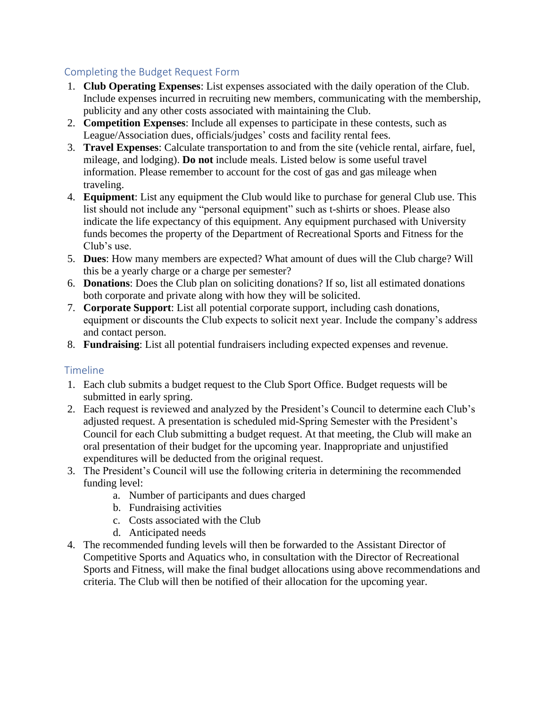#### <span id="page-20-0"></span>Completing the Budget Request Form

- 1. **Club Operating Expenses**: List expenses associated with the daily operation of the Club. Include expenses incurred in recruiting new members, communicating with the membership, publicity and any other costs associated with maintaining the Club.
- 2. **Competition Expenses**: Include all expenses to participate in these contests, such as League/Association dues, officials/judges' costs and facility rental fees.
- 3. **Travel Expenses**: Calculate transportation to and from the site (vehicle rental, airfare, fuel, mileage, and lodging). **Do not** include meals. Listed below is some useful travel information. Please remember to account for the cost of gas and gas mileage when traveling.
- 4. **Equipment**: List any equipment the Club would like to purchase for general Club use. This list should not include any "personal equipment" such as t-shirts or shoes. Please also indicate the life expectancy of this equipment. Any equipment purchased with University funds becomes the property of the Department of Recreational Sports and Fitness for the Club's use.
- 5. **Dues**: How many members are expected? What amount of dues will the Club charge? Will this be a yearly charge or a charge per semester?
- 6. **Donations**: Does the Club plan on soliciting donations? If so, list all estimated donations both corporate and private along with how they will be solicited.
- 7. **Corporate Support**: List all potential corporate support, including cash donations, equipment or discounts the Club expects to solicit next year. Include the company's address and contact person.
- 8. **Fundraising**: List all potential fundraisers including expected expenses and revenue.

#### <span id="page-20-1"></span>**Timeline**

- 1. Each club submits a budget request to the Club Sport Office. Budget requests will be submitted in early spring.
- 2. Each request is reviewed and analyzed by the President's Council to determine each Club's adjusted request. A presentation is scheduled mid-Spring Semester with the President's Council for each Club submitting a budget request. At that meeting, the Club will make an oral presentation of their budget for the upcoming year. Inappropriate and unjustified expenditures will be deducted from the original request.
- 3. The President's Council will use the following criteria in determining the recommended funding level:
	- a. Number of participants and dues charged
	- b. Fundraising activities
	- c. Costs associated with the Club
	- d. Anticipated needs
- 4. The recommended funding levels will then be forwarded to the Assistant Director of Competitive Sports and Aquatics who, in consultation with the Director of Recreational Sports and Fitness, will make the final budget allocations using above recommendations and criteria. The Club will then be notified of their allocation for the upcoming year.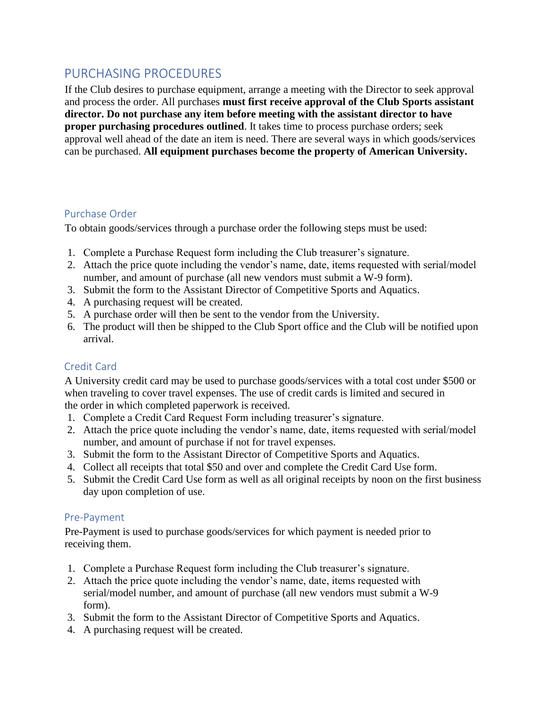### <span id="page-21-0"></span>PURCHASING PROCEDURES

If the Club desires to purchase equipment, arrange a meeting with the Director to seek approval and process the order. All purchases **must first receive approval of the Club Sports assistant director. Do not purchase any item before meeting with the assistant director to have proper purchasing procedures outlined**. It takes time to process purchase orders; seek approval well ahead of the date an item is need. There are several ways in which goods/services can be purchased. **All equipment purchases become the property of American University.**

#### <span id="page-21-1"></span>Purchase Order

To obtain goods/services through a purchase order the following steps must be used:

- 1. Complete a Purchase Request form including the Club treasurer's signature.
- 2. Attach the price quote including the vendor's name, date, items requested with serial/model number, and amount of purchase (all new vendors must submit a W-9 form).
- 3. Submit the form to the Assistant Director of Competitive Sports and Aquatics.
- 4. A purchasing request will be created.
- 5. A purchase order will then be sent to the vendor from the University.
- 6. The product will then be shipped to the Club Sport office and the Club will be notified upon arrival.

#### <span id="page-21-2"></span>Credit Card

A University credit card may be used to purchase goods/services with a total cost under \$500 or when traveling to cover travel expenses. The use of credit cards is limited and secured in the order in which completed paperwork is received.

- 1. Complete a Credit Card Request Form including treasurer's signature.
- 2. Attach the price quote including the vendor's name, date, items requested with serial/model number, and amount of purchase if not for travel expenses.
- 3. Submit the form to the Assistant Director of Competitive Sports and Aquatics.
- 4. Collect all receipts that total \$50 and over and complete the Credit Card Use form.
- 5. Submit the Credit Card Use form as well as all original receipts by noon on the first business day upon completion of use.

#### <span id="page-21-3"></span>Pre-Payment

Pre-Payment is used to purchase goods/services for which payment is needed prior to receiving them.

- 1. Complete a Purchase Request form including the Club treasurer's signature.
- 2. Attach the price quote including the vendor's name, date, items requested with serial/model number, and amount of purchase (all new vendors must submit a W-9 form).
- 3. Submit the form to the Assistant Director of Competitive Sports and Aquatics.
- 4. A purchasing request will be created.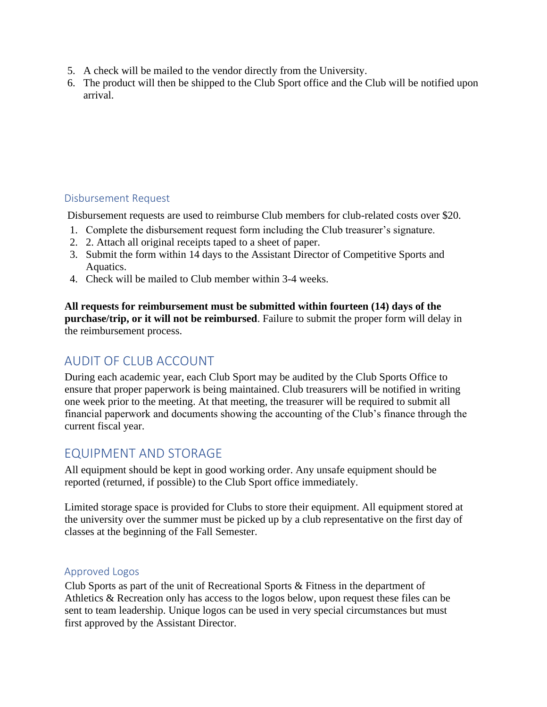- 5. A check will be mailed to the vendor directly from the University.
- 6. The product will then be shipped to the Club Sport office and the Club will be notified upon arrival.

#### <span id="page-22-0"></span>Disbursement Request

Disbursement requests are used to reimburse Club members for club-related costs over \$20.

- 1. Complete the disbursement request form including the Club treasurer's signature.
- 2. 2. Attach all original receipts taped to a sheet of paper.
- 3. Submit the form within 14 days to the Assistant Director of Competitive Sports and Aquatics.
- 4. Check will be mailed to Club member within 3-4 weeks.

**All requests for reimbursement must be submitted within fourteen (14) days of the purchase/trip, or it will not be reimbursed**. Failure to submit the proper form will delay in the reimbursement process.

# <span id="page-22-1"></span>AUDIT OF CLUB ACCOUNT

During each academic year, each Club Sport may be audited by the Club Sports Office to ensure that proper paperwork is being maintained. Club treasurers will be notified in writing one week prior to the meeting. At that meeting, the treasurer will be required to submit all financial paperwork and documents showing the accounting of the Club's finance through the current fiscal year.

### <span id="page-22-2"></span>EQUIPMENT AND STORAGE

All equipment should be kept in good working order. Any unsafe equipment should be reported (returned, if possible) to the Club Sport office immediately.

Limited storage space is provided for Clubs to store their equipment. All equipment stored at the university over the summer must be picked up by a club representative on the first day of classes at the beginning of the Fall Semester.

#### <span id="page-22-3"></span>Approved Logos

Club Sports as part of the unit of Recreational Sports & Fitness in the department of Athletics & Recreation only has access to the logos below, upon request these files can be sent to team leadership. Unique logos can be used in very special circumstances but must first approved by the Assistant Director.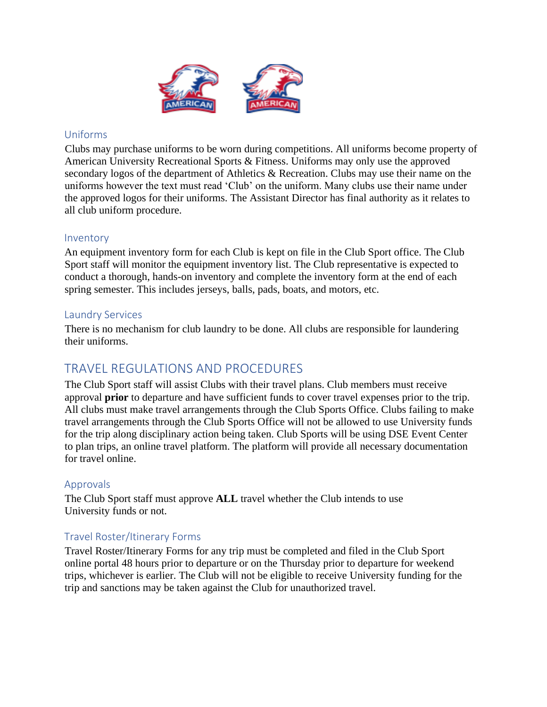

#### <span id="page-23-0"></span>Uniforms

Clubs may purchase uniforms to be worn during competitions. All uniforms become property of American University Recreational Sports & Fitness. Uniforms may only use the approved secondary logos of the department of Athletics & Recreation. Clubs may use their name on the uniforms however the text must read 'Club' on the uniform. Many clubs use their name under the approved logos for their uniforms. The Assistant Director has final authority as it relates to all club uniform procedure.

#### <span id="page-23-1"></span>Inventory

An equipment inventory form for each Club is kept on file in the Club Sport office. The Club Sport staff will monitor the equipment inventory list. The Club representative is expected to conduct a thorough, hands-on inventory and complete the inventory form at the end of each spring semester. This includes jerseys, balls, pads, boats, and motors, etc.

#### <span id="page-23-2"></span>Laundry Services

There is no mechanism for club laundry to be done. All clubs are responsible for laundering their uniforms.

### <span id="page-23-3"></span>TRAVEL REGULATIONS AND PROCEDURES

The Club Sport staff will assist Clubs with their travel plans. Club members must receive approval **prior** to departure and have sufficient funds to cover travel expenses prior to the trip. All clubs must make travel arrangements through the Club Sports Office. Clubs failing to make travel arrangements through the Club Sports Office will not be allowed to use University funds for the trip along disciplinary action being taken. Club Sports will be using DSE Event Center to plan trips, an online travel platform. The platform will provide all necessary documentation for travel online.

#### <span id="page-23-4"></span>Approvals

The Club Sport staff must approve **ALL** travel whether the Club intends to use University funds or not.

#### <span id="page-23-5"></span>Travel Roster/Itinerary Forms

Travel Roster/Itinerary Forms for any trip must be completed and filed in the Club Sport online portal 48 hours prior to departure or on the Thursday prior to departure for weekend trips, whichever is earlier. The Club will not be eligible to receive University funding for the trip and sanctions may be taken against the Club for unauthorized travel.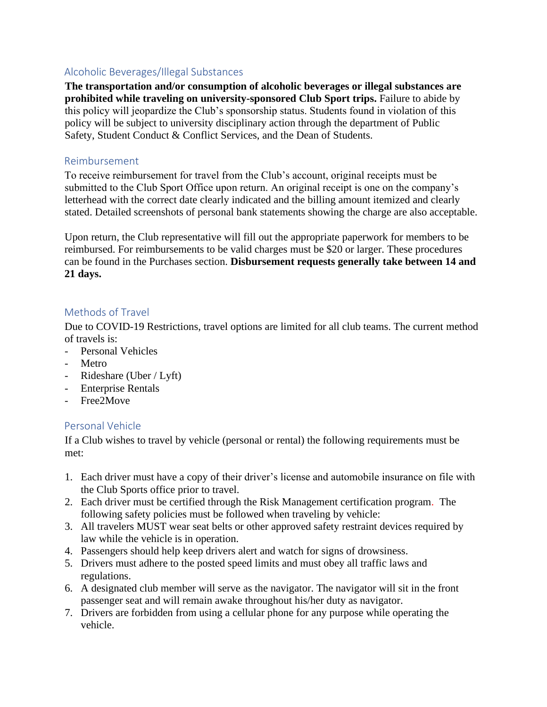#### <span id="page-24-0"></span>Alcoholic Beverages/Illegal Substances

**The transportation and/or consumption of alcoholic beverages or illegal substances are prohibited while traveling on university-sponsored Club Sport trips.** Failure to abide by this policy will jeopardize the Club's sponsorship status. Students found in violation of this policy will be subject to university disciplinary action through the department of Public Safety, Student Conduct & Conflict Services, and the Dean of Students.

#### <span id="page-24-1"></span>Reimbursement

To receive reimbursement for travel from the Club's account, original receipts must be submitted to the Club Sport Office upon return. An original receipt is one on the company's letterhead with the correct date clearly indicated and the billing amount itemized and clearly stated. Detailed screenshots of personal bank statements showing the charge are also acceptable.

Upon return, the Club representative will fill out the appropriate paperwork for members to be reimbursed. For reimbursements to be valid charges must be \$20 or larger. These procedures can be found in the Purchases section. **Disbursement requests generally take between 14 and 21 days.**

#### <span id="page-24-2"></span>Methods of Travel

Due to COVID-19 Restrictions, travel options are limited for all club teams. The current method of travels is:

- Personal Vehicles
- **Metro**
- Rideshare (Uber / Lyft)
- Enterprise Rentals
- Free2Move

#### <span id="page-24-3"></span>Personal Vehicle

If a Club wishes to travel by vehicle (personal or rental) the following requirements must be met:

- 1. Each driver must have a copy of their driver's license and automobile insurance on file with the Club Sports office prior to travel.
- 2. Each driver must be certified through the Risk Management certification program. The following safety policies must be followed when traveling by vehicle:
- 3. All travelers MUST wear seat belts or other approved safety restraint devices required by law while the vehicle is in operation.
- 4. Passengers should help keep drivers alert and watch for signs of drowsiness.
- 5. Drivers must adhere to the posted speed limits and must obey all traffic laws and regulations.
- 6. A designated club member will serve as the navigator. The navigator will sit in the front passenger seat and will remain awake throughout his/her duty as navigator.
- 7. Drivers are forbidden from using a cellular phone for any purpose while operating the vehicle.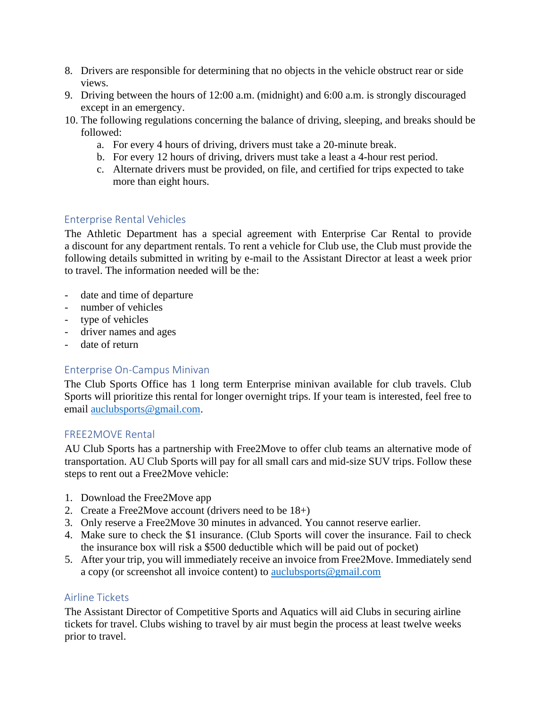- 8. Drivers are responsible for determining that no objects in the vehicle obstruct rear or side views.
- 9. Driving between the hours of 12:00 a.m. (midnight) and 6:00 a.m. is strongly discouraged except in an emergency.
- 10. The following regulations concerning the balance of driving, sleeping, and breaks should be followed:
	- a. For every 4 hours of driving, drivers must take a 20-minute break.
	- b. For every 12 hours of driving, drivers must take a least a 4-hour rest period.
	- c. Alternate drivers must be provided, on file, and certified for trips expected to take more than eight hours.

#### <span id="page-25-0"></span>Enterprise Rental Vehicles

The Athletic Department has a special agreement with Enterprise Car Rental to provide a discount for any department rentals. To rent a vehicle for Club use, the Club must provide the following details submitted in writing by e-mail to the Assistant Director at least a week prior to travel. The information needed will be the:

- date and time of departure
- number of vehicles
- type of vehicles
- driver names and ages
- date of return

#### <span id="page-25-1"></span>Enterprise On-Campus Minivan

The Club Sports Office has 1 long term Enterprise minivan available for club travels. Club Sports will prioritize this rental for longer overnight trips. If your team is interested, feel free to email [auclubsports@gmail.com.](mailto:auclubsports@gmail.com)

#### <span id="page-25-2"></span>FREE2MOVE Rental

AU Club Sports has a partnership with Free2Move to offer club teams an alternative mode of transportation. AU Club Sports will pay for all small cars and mid-size SUV trips. Follow these steps to rent out a Free2Move vehicle:

- 1. Download the Free2Move app
- 2. Create a Free2Move account (drivers need to be 18+)
- 3. Only reserve a Free2Move 30 minutes in advanced. You cannot reserve earlier.
- 4. Make sure to check the \$1 insurance. (Club Sports will cover the insurance. Fail to check the insurance box will risk a \$500 deductible which will be paid out of pocket)
- 5. After your trip, you will immediately receive an invoice from Free2Move. Immediately send a copy (or screenshot all invoice content) to [auclubsports@gmail.com](mailto:auclubsports@gmail.com)

#### <span id="page-25-3"></span>Airline Tickets

The Assistant Director of Competitive Sports and Aquatics will aid Clubs in securing airline tickets for travel. Clubs wishing to travel by air must begin the process at least twelve weeks prior to travel.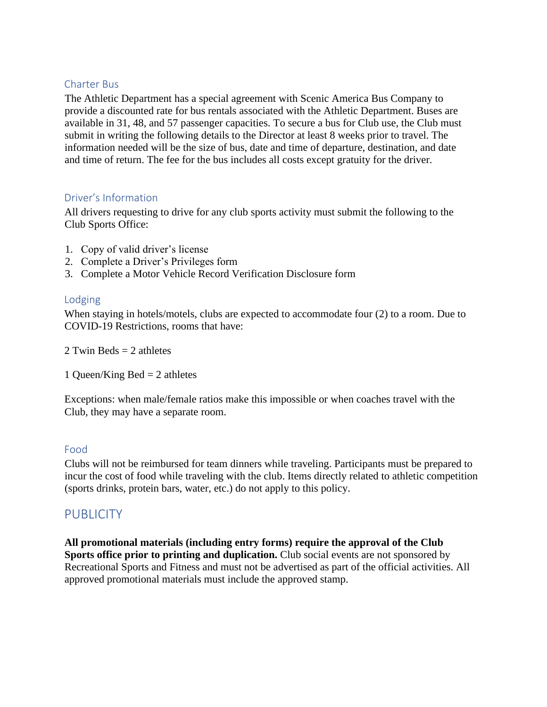#### <span id="page-26-0"></span>Charter Bus

The Athletic Department has a special agreement with Scenic America Bus Company to provide a discounted rate for bus rentals associated with the Athletic Department. Buses are available in 31, 48, and 57 passenger capacities. To secure a bus for Club use, the Club must submit in writing the following details to the Director at least 8 weeks prior to travel. The information needed will be the size of bus, date and time of departure, destination, and date and time of return. The fee for the bus includes all costs except gratuity for the driver.

#### <span id="page-26-1"></span>Driver's Information

All drivers requesting to drive for any club sports activity must submit the following to the Club Sports Office:

- 1. Copy of valid driver's license
- 2. Complete a Driver's Privileges form
- 3. Complete a Motor Vehicle Record Verification Disclosure form

#### <span id="page-26-2"></span>Lodging

When staying in hotels/motels, clubs are expected to accommodate four (2) to a room. Due to COVID-19 Restrictions, rooms that have:

2 Twin Beds  $= 2$  athletes

1 Queen/King Bed  $= 2$  athletes

Exceptions: when male/female ratios make this impossible or when coaches travel with the Club, they may have a separate room.

#### <span id="page-26-3"></span>Food

Clubs will not be reimbursed for team dinners while traveling. Participants must be prepared to incur the cost of food while traveling with the club. Items directly related to athletic competition (sports drinks, protein bars, water, etc.) do not apply to this policy.

### <span id="page-26-4"></span>**PUBLICITY**

**All promotional materials (including entry forms) require the approval of the Club Sports office prior to printing and duplication.** Club social events are not sponsored by Recreational Sports and Fitness and must not be advertised as part of the official activities. All approved promotional materials must include the approved stamp.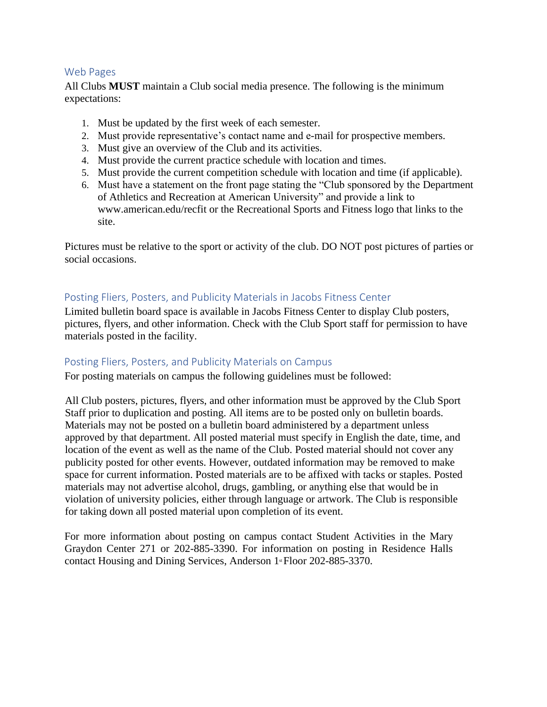#### <span id="page-27-0"></span>Web Pages

All Clubs **MUST** maintain a Club social media presence. The following is the minimum expectations:

- 1. Must be updated by the first week of each semester.
- 2. Must provide representative's contact name and e-mail for prospective members.
- 3. Must give an overview of the Club and its activities.
- 4. Must provide the current practice schedule with location and times.
- 5. Must provide the current competition schedule with location and time (if applicable).
- 6. Must have a statement on the front page stating the "Club sponsored by the Department of Athletics and Recreation at American University" and provide a link to www.american.edu/recfit or the Recreational Sports and Fitness logo that links to the site.

Pictures must be relative to the sport or activity of the club. DO NOT post pictures of parties or social occasions.

#### <span id="page-27-1"></span>Posting Fliers, Posters, and Publicity Materials in Jacobs Fitness Center

Limited bulletin board space is available in Jacobs Fitness Center to display Club posters, pictures, flyers, and other information. Check with the Club Sport staff for permission to have materials posted in the facility.

#### <span id="page-27-2"></span>Posting Fliers, Posters, and Publicity Materials on Campus

For posting materials on campus the following guidelines must be followed:

All Club posters, pictures, flyers, and other information must be approved by the Club Sport Staff prior to duplication and posting. All items are to be posted only on bulletin boards. Materials may not be posted on a bulletin board administered by a department unless approved by that department. All posted material must specify in English the date, time, and location of the event as well as the name of the Club. Posted material should not cover any publicity posted for other events. However, outdated information may be removed to make space for current information. Posted materials are to be affixed with tacks or staples. Posted materials may not advertise alcohol, drugs, gambling, or anything else that would be in violation of university policies, either through language or artwork. The Club is responsible for taking down all posted material upon completion of its event.

For more information about posting on campus contact Student Activities in the Mary Graydon Center 271 or 202-885-3390. For information on posting in Residence Halls contact Housing and Dining Services, Anderson 1<sup>st</sup> Floor 202-885-3370.